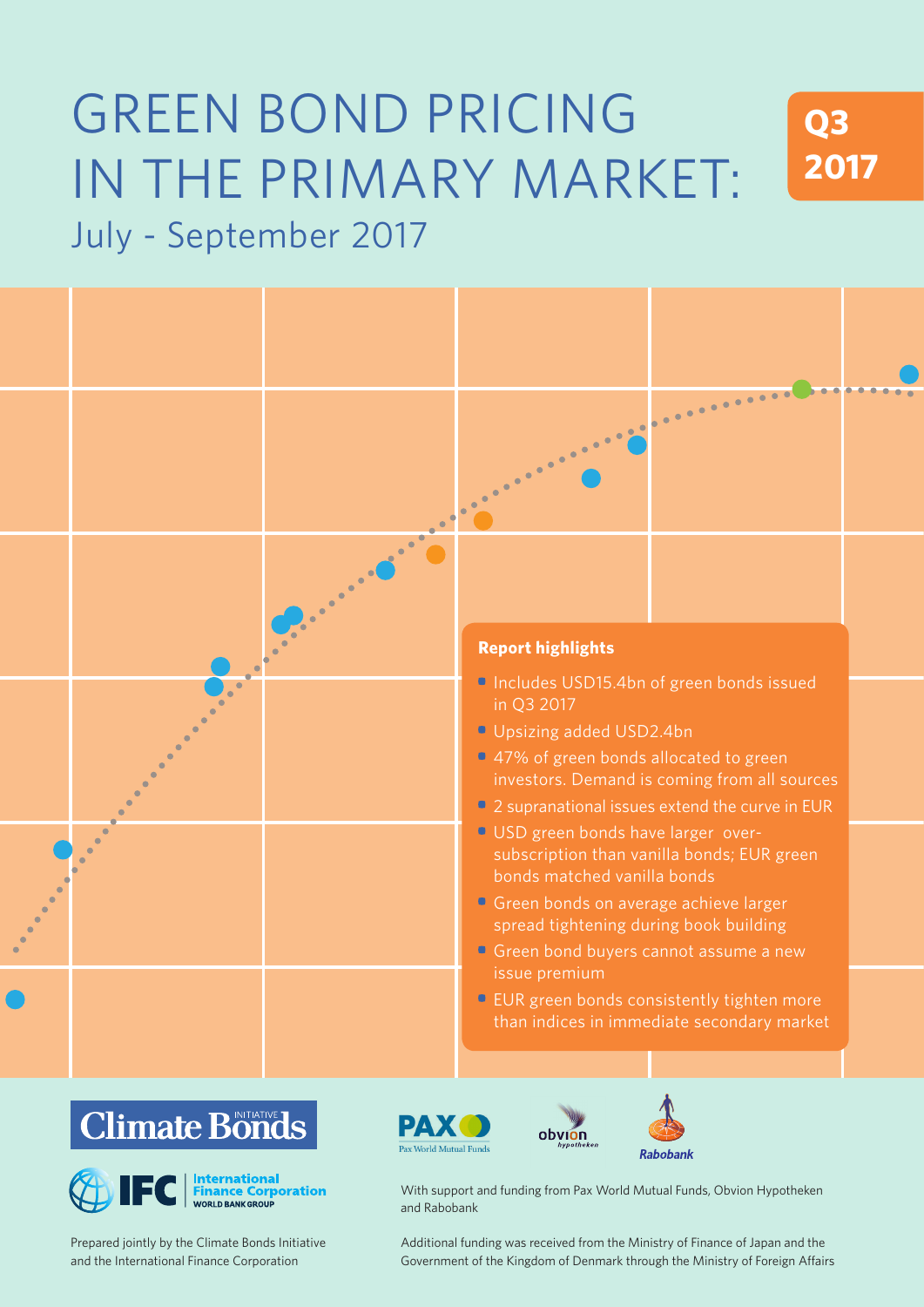# GREEN BOND PRICING IN THE PRIMARY MARKET: July - September 2017





# 0 5 10 15 20 25



Prepared jointly by the Climate Bonds Initiative and the International Finance Corporation





With support and funding from Pax World Mutual Funds, Obvion Hypotheken and Rabobank

Additional funding was received from the Ministry of Finance of Japan and the Government of the Kingdom of Denmark through the Ministry of Foreign Affairs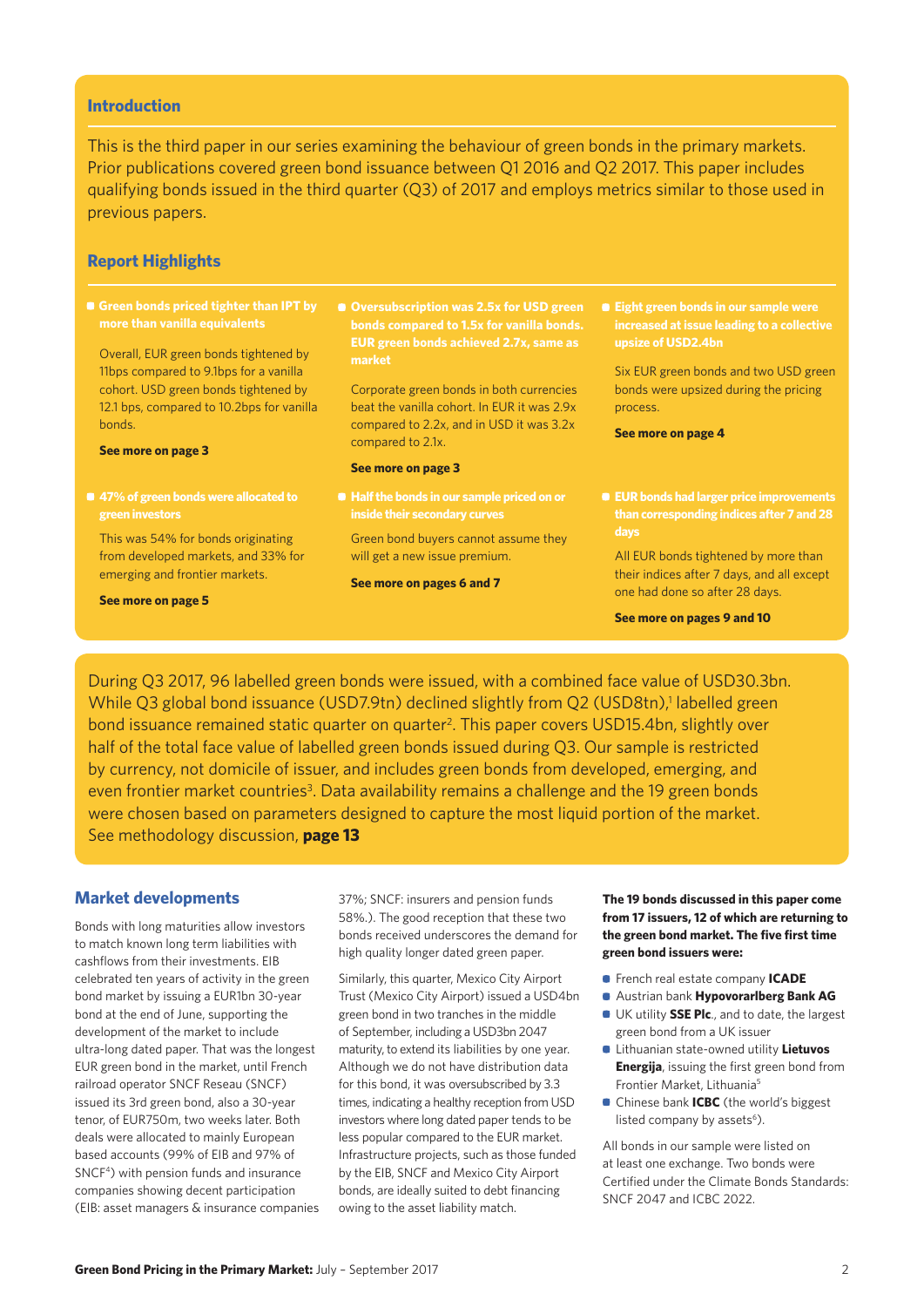#### **Introduction**

This is the third paper in our series examining the behaviour of green bonds in the primary markets. Prior publications covered green bond issuance between Q1 2016 and Q2 2017. This paper includes qualifying bonds issued in the third quarter (Q3) of 2017 and employs metrics similar to those used in previous papers.

#### **Report Highlights**

**more than vanilla equivalents**

Overall, EUR green bonds tightened by 11bps compared to 9.1bps for a vanilla cohort. USD green bonds tightened by 12.1 bps, compared to 10.2bps for vanilla bonds.

#### **See more on page 3**

This was 54% for bonds originating from developed markets, and 33% for emerging and frontier markets.

**See more on page 5**

**EUR green bonds achieved 2.7x, same as** 

Corporate green bonds in both currencies beat the vanilla cohort. In EUR it was 2.9x compared to 2.2x, and in USD it was 3.2x compared to 2.1x.

#### **See more on page 3**

Green bond buyers cannot assume they will get a new issue premium.

#### **See more on pages 6 and 7**

**• Eight green bonds in our sample were** 

Six EUR green bonds and two USD green bonds were upsized during the pricing process.

**See more on page 4**

**• EUR bonds had larger price improvements** 

All EUR bonds tightened by more than their indices after 7 days, and all except one had done so after 28 days.

**See more on pages 9 and 10**

During Q3 2017, 96 labelled green bonds were issued, with a combined face value of USD30.3bn. While Q3 global bond issuance (USD7.9tn) declined slightly from Q2 (USD8tn),<sup>1</sup> labelled green bond issuance remained static quarter on quarter<sup>2</sup>. This paper covers USD15.4bn, slightly over half of the total face value of labelled green bonds issued during Q3. Our sample is restricted by currency, not domicile of issuer, and includes green bonds from developed, emerging, and even frontier market countries<sup>3</sup>. Data availability remains a challenge and the 19 green bonds were chosen based on parameters designed to capture the most liquid portion of the market. See methodology discussion, **page 13**

#### **Market developments**

Bonds with long maturities allow investors to match known long term liabilities with cashflows from their investments. EIB celebrated ten years of activity in the green bond market by issuing a EUR1bn 30-year bond at the end of June, supporting the development of the market to include ultra-long dated paper. That was the longest EUR green bond in the market, until French railroad operator SNCF Reseau (SNCF) issued its 3rd green bond, also a 30-year tenor, of EUR750m, two weeks later. Both deals were allocated to mainly European based accounts (99% of EIB and 97% of SNCF4) with pension funds and insurance companies showing decent participation (EIB: asset managers & insurance companies

37%; SNCF: insurers and pension funds 58%.). The good reception that these two bonds received underscores the demand for high quality longer dated green paper.

Similarly, this quarter, Mexico City Airport Trust (Mexico City Airport) issued a USD4bn green bond in two tranches in the middle of September, including a USD3bn 2047 maturity, to extend its liabilities by one year. Although we do not have distribution data for this bond, it was oversubscribed by 3.3 times, indicating a healthy reception from USD investors where long dated paper tends to be less popular compared to the EUR market. Infrastructure projects, such as those funded by the EIB, SNCF and Mexico City Airport bonds, are ideally suited to debt financing owing to the asset liability match.

**The 19 bonds discussed in this paper come from 17 issuers, 12 of which are returning to the green bond market. The five first time green bond issuers were:** 

- French real estate company **ICADE**
- Austrian bank **Hypovorarlberg Bank AG**
- UK utility **SSE Plc**., and to date, the largest green bond from a UK issuer
- Lithuanian state-owned utility **Lietuvos Energija**, issuing the first green bond from Frontier Market, Lithuania<sup>5</sup>
- **Chinese bank ICBC** (the world's biggest listed company by assets<sup>6</sup>).

All bonds in our sample were listed on at least one exchange. Two bonds were Certified under the Climate Bonds Standards: SNCF 2047 and ICBC 2022.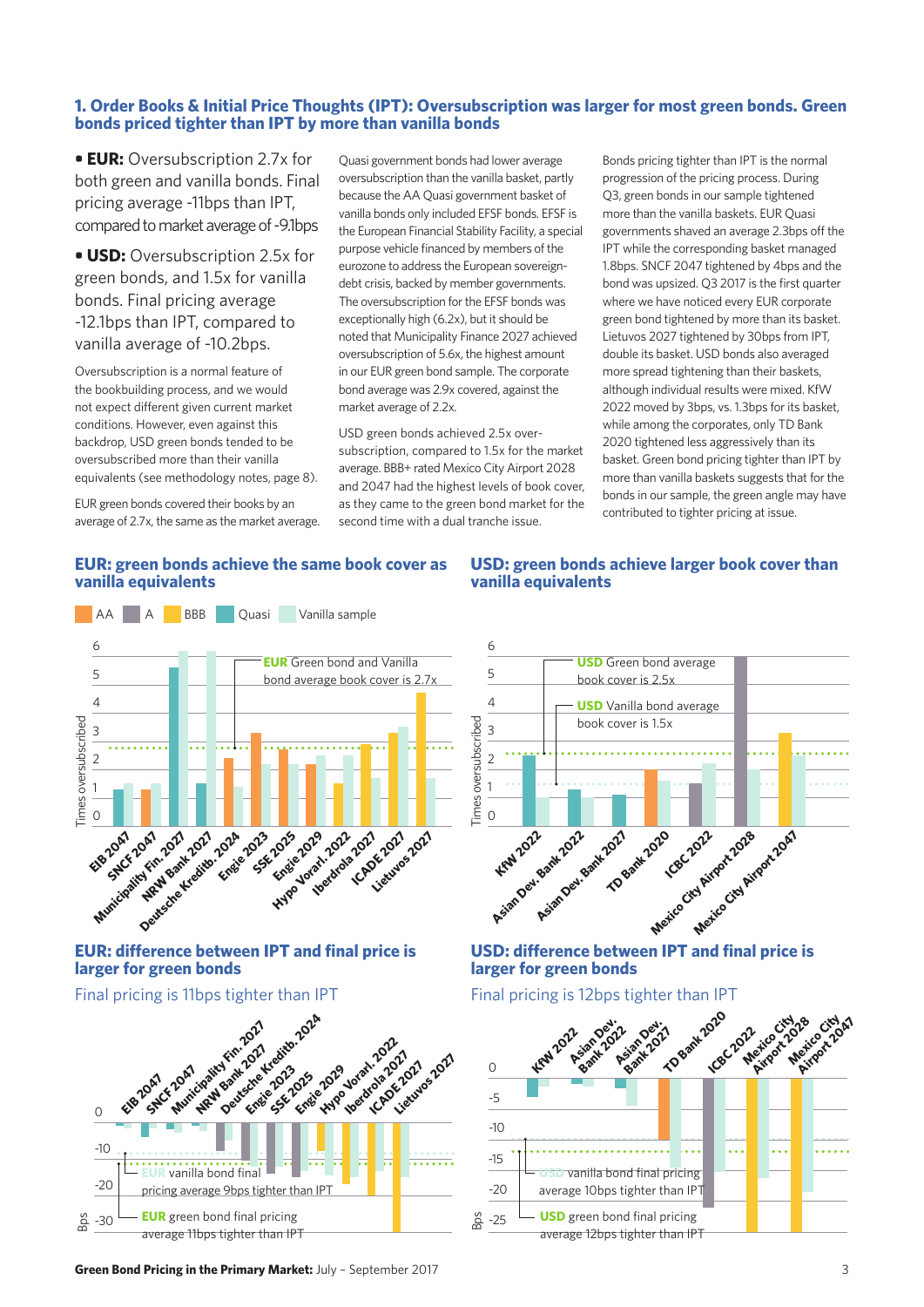# **1. Order Books & Initial Price Thoughts (IPT): Oversubscription was larger for most green bonds. Green bonds priced tighter than IPT by more than vanilla bonds**

**• EUR:** Oversubscription 2.7x for both green and vanilla bonds. Final pricing average -11bps than IPT, compared to market average of -9.1bps

**• USD:** Oversubscription 2.5x for green bonds, and 1.5x for vanilla bonds. Final pricing average -12.1bps than IPT, compared to vanilla average of -10.2bps.

Oversubscription is a normal feature of the bookbuilding process, and we would not expect different given current market conditions. However, even against this backdrop, USD green bonds tended to be oversubscribed more than their vanilla equivalents (see methodology notes, page 8).

EUR green bonds covered their books by an average of 2.7x, the same as the market average. Quasi government bonds had lower average oversubscription than the vanilla basket, partly because the AA Quasi government basket of vanilla bonds only included EFSF bonds. EFSF is the European Financial Stability Facility, a special purpose vehicle financed by members of the eurozone to address the European sovereigndebt crisis, backed by member governments. The oversubscription for the EFSF bonds was exceptionally high (6.2x), but it should be noted that Municipality Finance 2027 achieved oversubscription of 5.6x, the highest amount in our EUR green bond sample. The corporate bond average was 2.9x covered, against the market average of 2.2x.

USD green bonds achieved 2.5x oversubscription, compared to 1.5x for the market average. BBB+ rated Mexico City Airport 2028 and 2047 had the highest levels of book cover, as they came to the green bond market for the second time with a dual tranche issue.

Bonds pricing tighter than IPT is the normal progression of the pricing process. During Q3, green bonds in our sample tightened more than the vanilla baskets. EUR Quasi governments shaved an average 2.3bps off the IPT while the corresponding basket managed 1.8bps. SNCF 2047 tightened by 4bps and the bond was upsized. Q3 2017 is the first quarter where we have noticed every EUR corporate green bond tightened by more than its basket. Lietuvos 2027 tightened by 30bps from IPT, double its basket. USD bonds also averaged more spread tightening than their baskets. although individual results were mixed. KfW 2022 moved by 3bps, vs. 1.3bps for its basket, while among the corporates, only TD Bank 2020 tightened less aggressively than its basket. Green bond pricing tighter than IPT by more than vanilla baskets suggests that for the bonds in our sample, the green angle may have contributed to tighter pricing at issue.

## **EUR: green bonds achieve the same book cover as vanilla equivalents**



# **EUR: difference between IPT and final price is larger for green bonds**

# Final pricing is 11bps tighter than IPT



### **USD: green bonds achieve larger book cover than vanilla equivalents**



# **USD: difference between IPT and final price is larger for green bonds**

## Final pricing is 12bps tighter than IPT

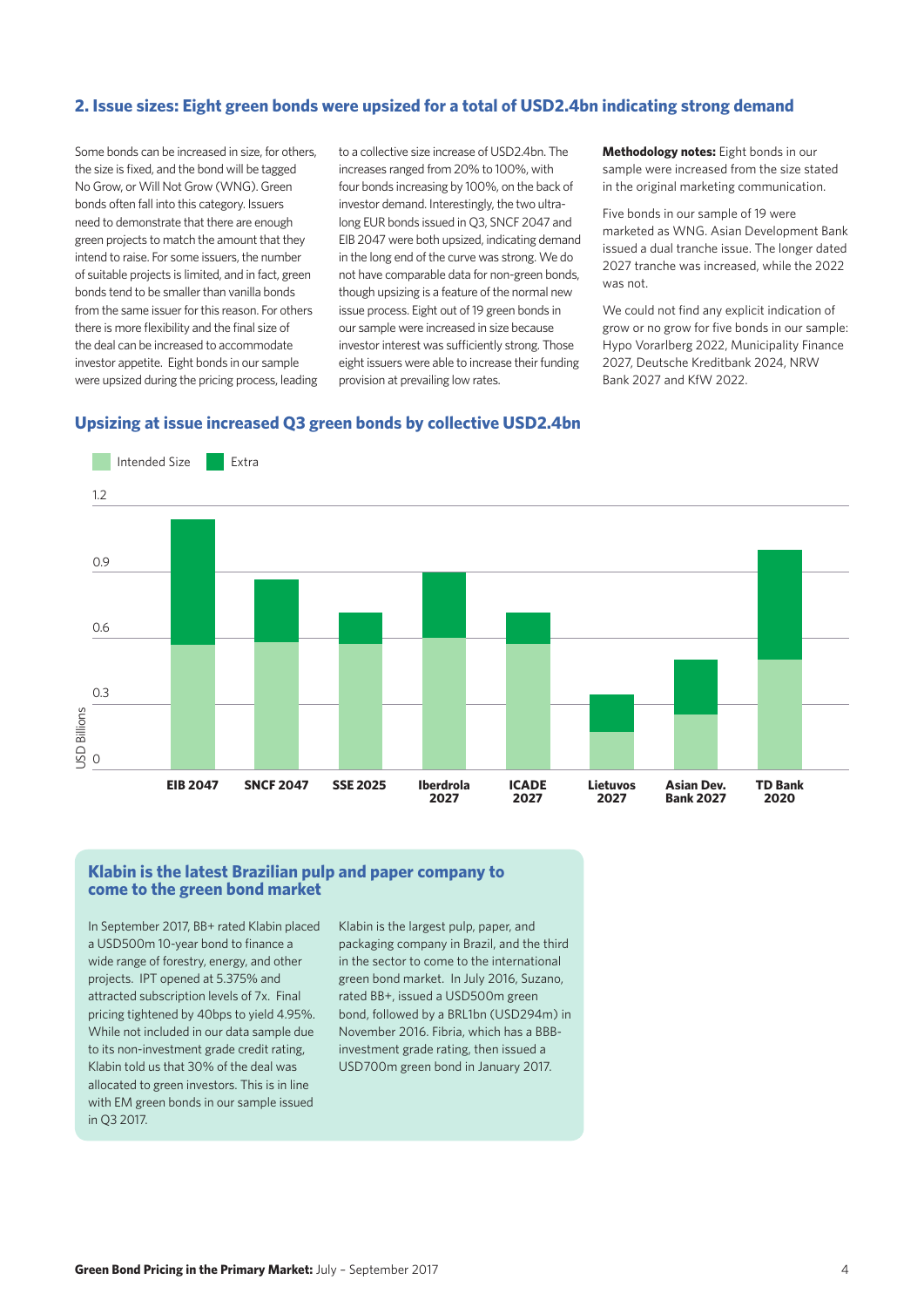## **2. Issue sizes: Eight green bonds were upsized for a total of USD2.4bn indicating strong demand**

Some bonds can be increased in size, for others, the size is fixed, and the bond will be tagged No Grow, or Will Not Grow (WNG). Green bonds often fall into this category. Issuers need to demonstrate that there are enough green projects to match the amount that they intend to raise. For some issuers, the number of suitable projects is limited, and in fact, green bonds tend to be smaller than vanilla bonds from the same issuer for this reason. For others there is more flexibility and the final size of the deal can be increased to accommodate investor appetite. Eight bonds in our sample were upsized during the pricing process, leading

to a collective size increase of USD2.4bn. The increases ranged from 20% to 100%, with four bonds increasing by 100%, on the back of investor demand. Interestingly, the two ultralong EUR bonds issued in Q3, SNCF 2047 and EIB 2047 were both upsized, indicating demand in the long end of the curve was strong. We do not have comparable data for non-green bonds, though upsizing is a feature of the normal new issue process. Eight out of 19 green bonds in our sample were increased in size because investor interest was sufficiently strong. Those eight issuers were able to increase their funding provision at prevailing low rates.

#### **Upsizing at issue increased Q3 green bonds by collective USD2.4bn**

Intended Size | Extra 1.2 0.9 0.6 0.3 JSD Billions USD Billions  $\overline{O}$ **EIB 2047 SNCF 2047 SSE 2025 Iberdrola ICADE TD Bank Lietuvos Asian Dev. 2027 2027 Bank 2027 2027 2020**

#### **Klabin is the latest Brazilian pulp and paper company to come to the green bond market**

In September 2017, BB+ rated Klabin placed a USD500m 10-year bond to finance a wide range of forestry, energy, and other projects. IPT opened at 5.375% and attracted subscription levels of 7x. Final pricing tightened by 40bps to yield 4.95%. While not included in our data sample due to its non-investment grade credit rating, Klabin told us that 30% of the deal was allocated to green investors. This is in line with EM green bonds in our sample issued in Q3 2017.

Klabin is the largest pulp, paper, and packaging company in Brazil, and the third in the sector to come to the international green bond market. In July 2016, Suzano, rated BB+, issued a USD500m green bond, followed by a BRL1bn (USD294m) in November 2016. Fibria, which has a BBBinvestment grade rating, then issued a USD700m green bond in January 2017.

**Methodology notes:** Eight bonds in our sample were increased from the size stated in the original marketing communication.

Five bonds in our sample of 19 were marketed as WNG. Asian Development Bank issued a dual tranche issue. The longer dated 2027 tranche was increased, while the 2022 was not.

We could not find any explicit indication of grow or no grow for five bonds in our sample: Hypo Vorarlberg 2022, Municipality Finance 2027, Deutsche Kreditbank 2024, NRW Bank 2027 and KfW 2022.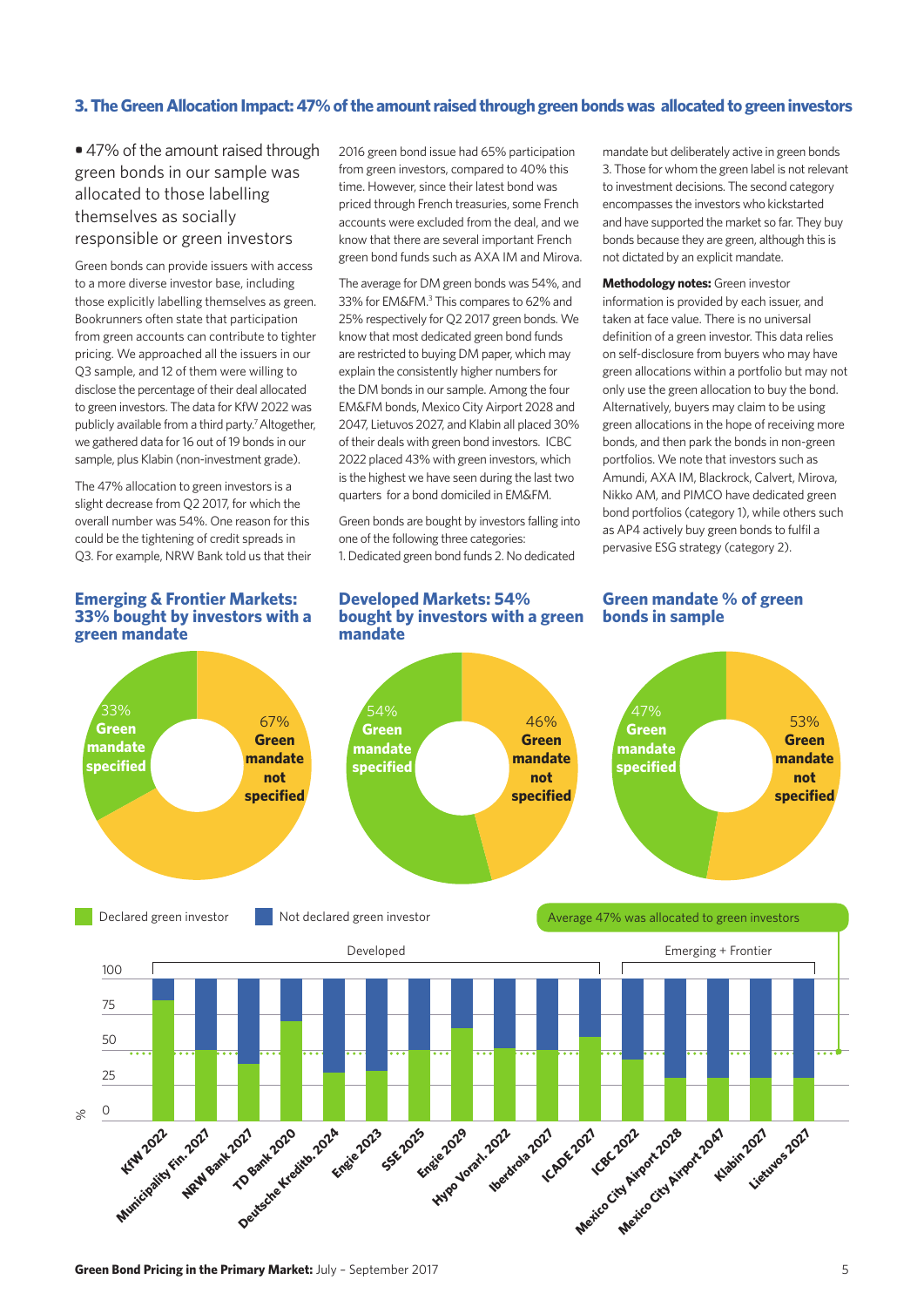#### **3. The Green Allocation Impact: 47% of the amount raised through green bonds was allocated to green investors**

**•** 47% of the amount raised through green bonds in our sample was allocated to those labelling themselves as socially responsible or green investors

Green bonds can provide issuers with access to a more diverse investor base, including those explicitly labelling themselves as green. Bookrunners often state that participation from green accounts can contribute to tighter pricing. We approached all the issuers in our Q3 sample, and 12 of them were willing to disclose the percentage of their deal allocated to green investors. The data for KfW 2022 was publicly available from a third party.<sup>7</sup> Altogether, we gathered data for 16 out of 19 bonds in our sample, plus Klabin (non-investment grade).

The 47% allocation to green investors is a slight decrease from Q2 2017, for which the overall number was 54%. One reason for this could be the tightening of credit spreads in Q3. For example, NRW Bank told us that their

#### **Emerging & Frontier Markets: 33% bought by investors with a green mandate**

2016 green bond issue had 65% participation from green investors, compared to 40% this time. However, since their latest bond was priced through French treasuries, some French accounts were excluded from the deal, and we know that there are several important French green bond funds such as AXA IM and Mirova.

The average for DM green bonds was 54%, and 33% for EM&FM.<sup>3</sup> This compares to 62% and 25% respectively for Q2 2017 green bonds. We know that most dedicated green bond funds are restricted to buying DM paper, which may explain the consistently higher numbers for the DM bonds in our sample. Among the four EM&FM bonds, Mexico City Airport 2028 and 2047, Lietuvos 2027, and Klabin all placed 30% of their deals with green bond investors. ICBC 2022 placed 43% with green investors, which is the highest we have seen during the last two quarters for a bond domiciled in EM&FM.

Green bonds are bought by investors falling into one of the following three categories: 1. Dedicated green bond funds 2. No dedicated

#### **Developed Markets: 54% bought by investors with a green mandate**

mandate but deliberately active in green bonds 3. Those for whom the green label is not relevant to investment decisions. The second category encompasses the investors who kickstarted and have supported the market so far. They buy bonds because they are green, although this is not dictated by an explicit mandate.

**Methodology notes:** Green investor information is provided by each issuer, and taken at face value. There is no universal definition of a green investor. This data relies on self-disclosure from buyers who may have green allocations within a portfolio but may not only use the green allocation to buy the bond. Alternatively, buyers may claim to be using green allocations in the hope of receiving more bonds, and then park the bonds in non-green portfolios. We note that investors such as Amundi, AXA IM, Blackrock, Calvert, Mirova, Nikko AM, and PIMCO have dedicated green bond portfolios (category 1), while others such as AP4 actively buy green bonds to fulfil a pervasive ESG strategy (category 2).

#### **Green mandate % of green bonds in sample**

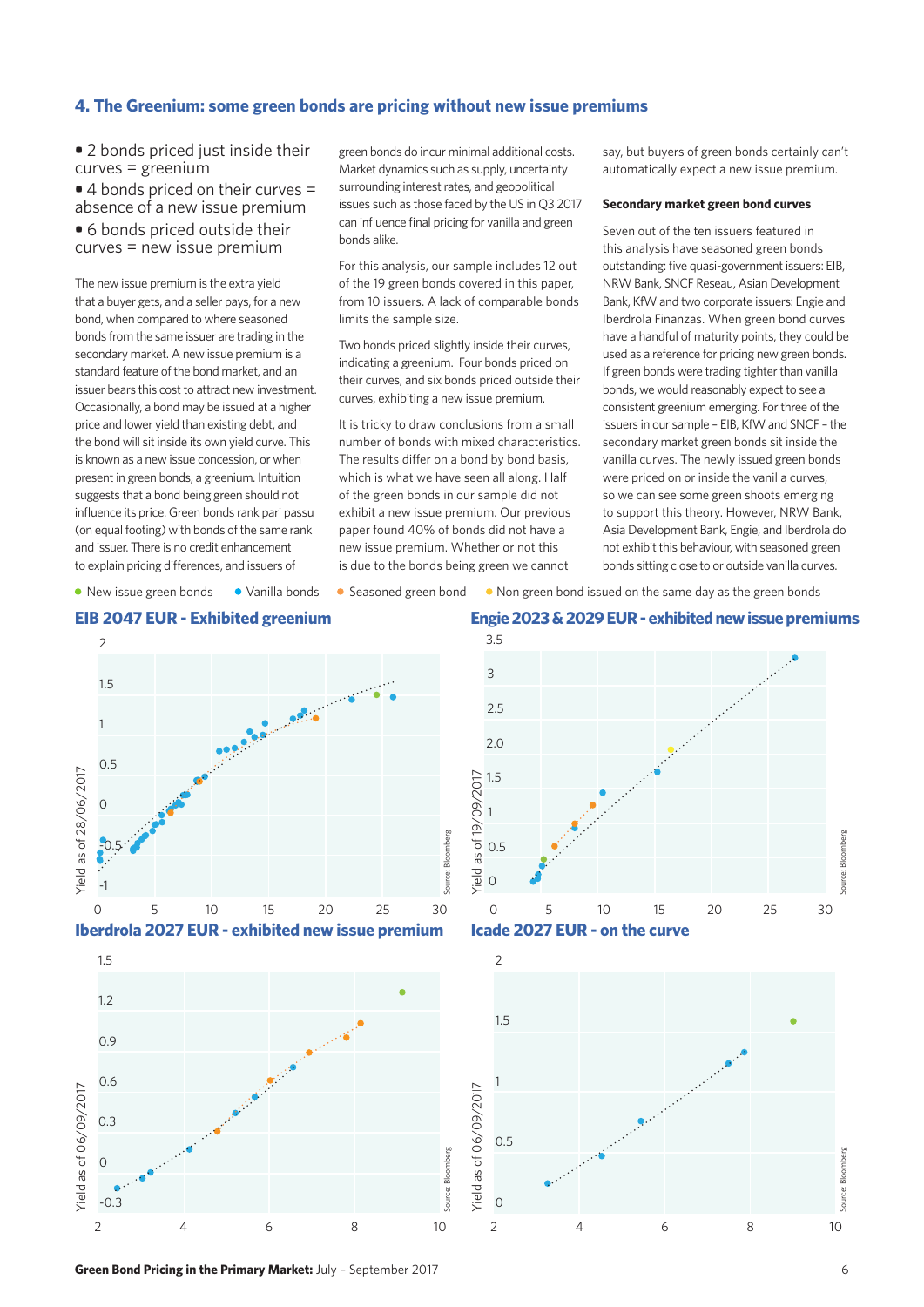#### **4. The Greenium: some green bonds are pricing without new issue premiums**

**•** 2 bonds priced just inside their curves = greenium

**•** 4 bonds priced on their curves = absence of a new issue premium

**•** 6 bonds priced outside their curves = new issue premium

The new issue premium is the extra yield that a buyer gets, and a seller pays, for a new bond, when compared to where seasoned bonds from the same issuer are trading in the secondary market. A new issue premium is a standard feature of the bond market, and an issuer bears this cost to attract new investment. Occasionally, a bond may be issued at a higher price and lower yield than existing debt, and the bond will sit inside its own yield curve. This is known as a new issue concession, or when present in green bonds, a greenium. Intuition suggests that a bond being green should not influence its price. Green bonds rank pari passu (on equal footing) with bonds of the same rank and issuer. There is no credit enhancement to explain pricing differences, and issuers of

green bonds do incur minimal additional costs. Market dynamics such as supply, uncertainty surrounding interest rates, and geopolitical issues such as those faced by the US in Q3 2017 can influence final pricing for vanilla and green bonds alike.

For this analysis, our sample includes 12 out of the 19 green bonds covered in this paper, from 10 issuers. A lack of comparable bonds limits the sample size.

Two bonds priced slightly inside their curves, indicating a greenium. Four bonds priced on their curves, and six bonds priced outside their curves, exhibiting a new issue premium.

It is tricky to draw conclusions from a small number of bonds with mixed characteristics. The results differ on a bond by bond basis, which is what we have seen all along. Half of the green bonds in our sample did not exhibit a new issue premium. Our previous paper found 40% of bonds did not have a new issue premium. Whether or not this is due to the bonds being green we cannot

say, but buyers of green bonds certainly can't automatically expect a new issue premium.

#### **Secondary market green bond curves**

Seven out of the ten issuers featured in this analysis have seasoned green bonds outstanding: five quasi-government issuers: EIB, NRW Bank, SNCF Reseau, Asian Development Bank, KfW and two corporate issuers: Engie and Iberdrola Finanzas. When green bond curves have a handful of maturity points, they could be used as a reference for pricing new green bonds. If green bonds were trading tighter than vanilla bonds, we would reasonably expect to see a consistent greenium emerging. For three of the issuers in our sample – EIB, KfW and SNCF – the secondary market green bonds sit inside the vanilla curves. The newly issued green bonds were priced on or inside the vanilla curves, so we can see some green shoots emerging to support this theory. However, NRW Bank, Asia Development Bank, Engie, and Iberdrola do not exhibit this behaviour, with seasoned green bonds sitting close to or outside vanilla curves.

• New issue green bonds • Vanilla bonds • Seasoned green bond • Non green bond issued on the same day as the green bonds











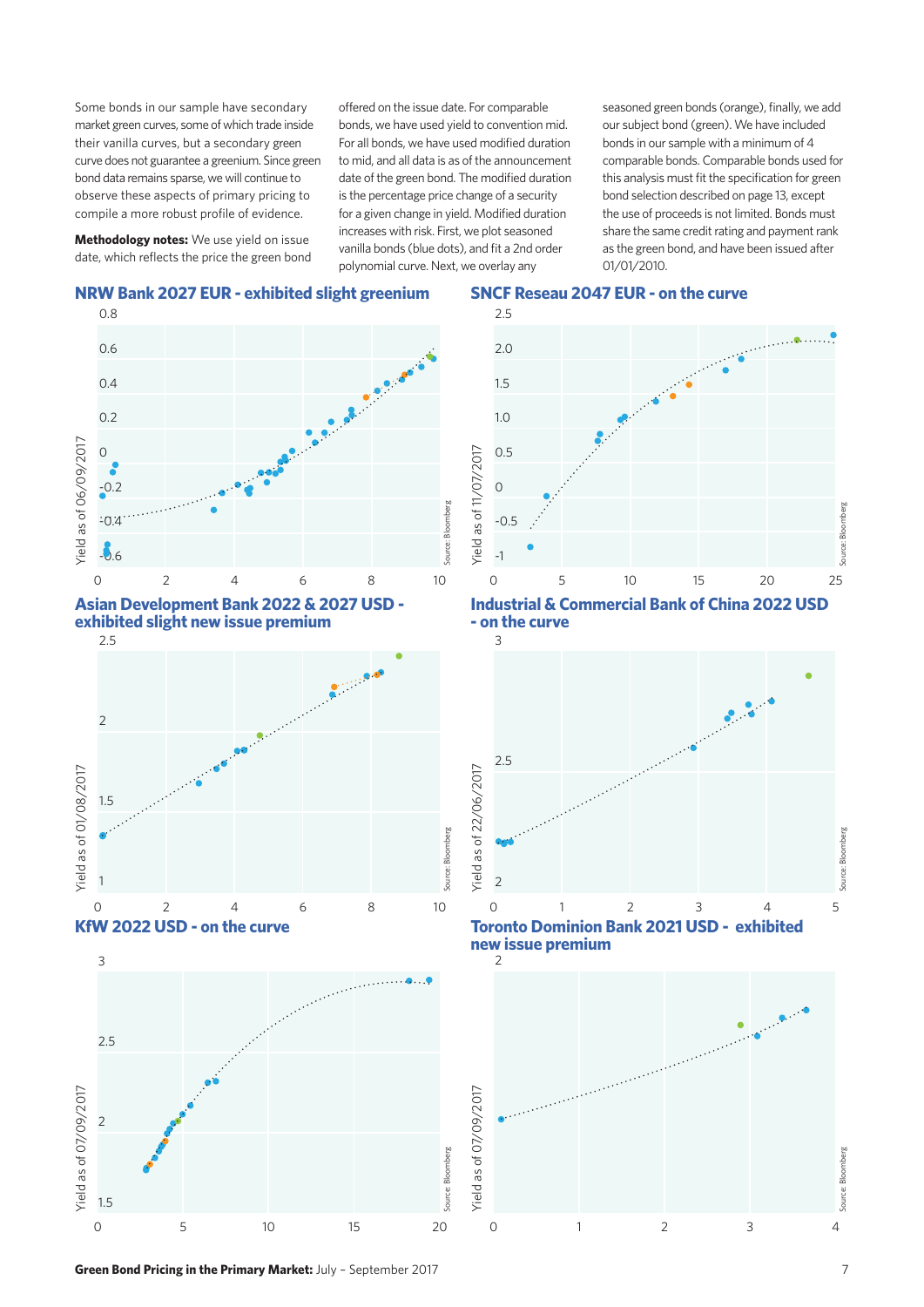Some bonds in our sample have secondary market green curves, some of which trade inside their vanilla curves, but a secondary green curve does not guarantee a greenium. Since green bond data remains sparse, we will continue to observe these aspects of primary pricing to compile a more robust profile of evidence.

**Methodology notes:** We use yield on issue date, which reflects the price the green bond offered on the issue date. For comparable bonds, we have used yield to convention mid. For all bonds, we have used modified duration to mid, and all data is as of the announcement date of the green bond. The modified duration is the percentage price change of a security for a given change in yield. Modified duration increases with risk. First, we plot seasoned vanilla bonds (blue dots), and fit a 2nd order polynomial curve. Next, we overlay any

seasoned green bonds (orange), finally, we add our subject bond (green). We have included bonds in our sample with a minimum of 4 comparable bonds. Comparable bonds used for this analysis must fit the specification for green bond selection described on page 13, except the use of proceeds is not limited. Bonds must share the same credit rating and payment rank as the green bond, and have been issued after 01/01/2010.

#### **NRW Bank 2027 EUR - exhibited slight greenium SNCF Reseau 2047 EUR - on the curve**



**Asian Development Bank 2022 & 2027 USD -**  0 2 4 6 8 10 **exhibited slight new issue premium**







**Industrial & Commercial Bank of China 2022 USD - on the curve**



 $\overline{\phantom{0}}$ **new issue premium**

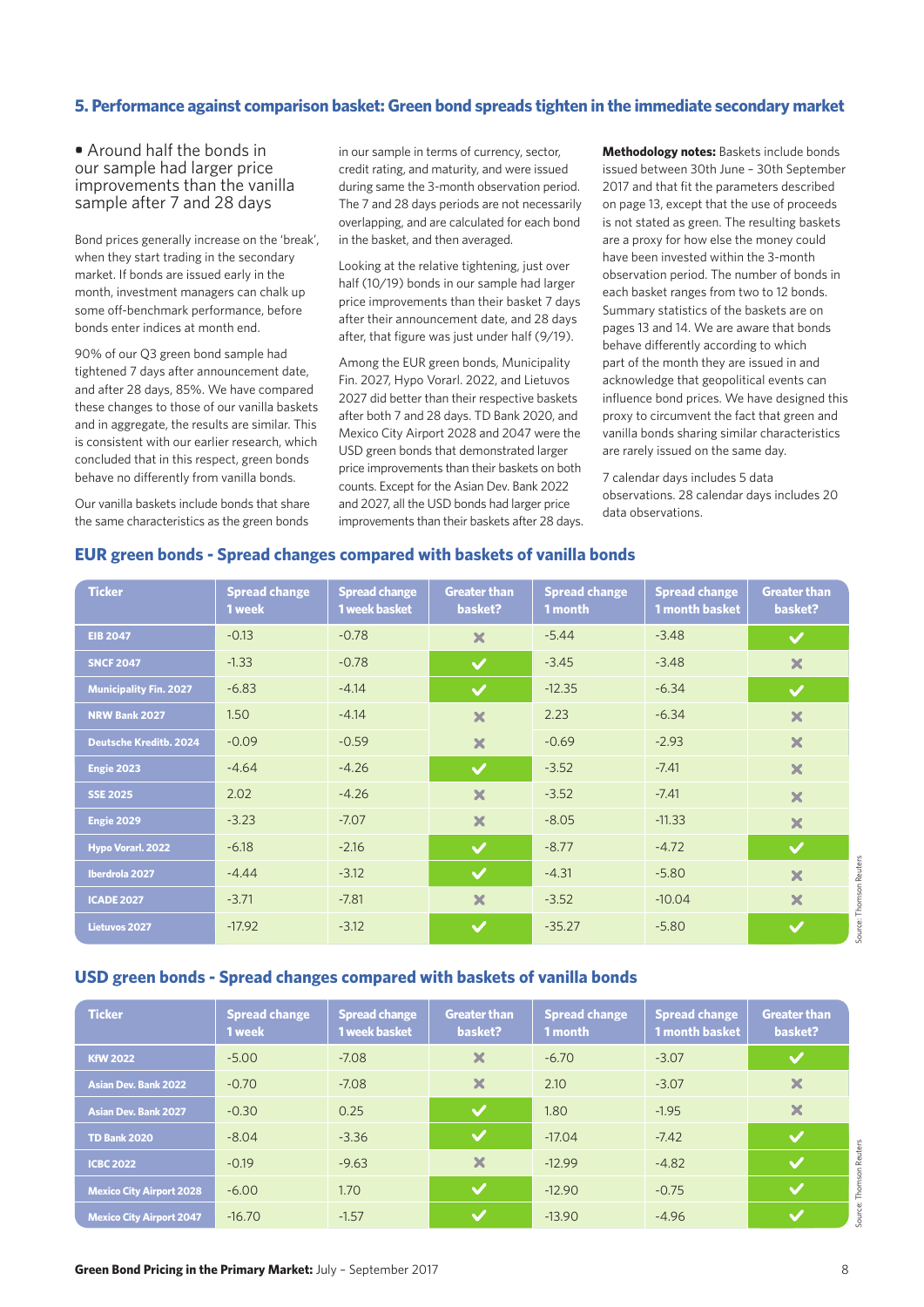#### **5. Performance against comparison basket: Green bond spreads tighten in the immediate secondary market**

#### **•** Around half the bonds in our sample had larger price improvements than the vanilla sample after 7 and 28 days

Bond prices generally increase on the 'break', when they start trading in the secondary market. If bonds are issued early in the month, investment managers can chalk up some off-benchmark performance, before bonds enter indices at month end.

90% of our Q3 green bond sample had tightened 7 days after announcement date, and after 28 days, 85%. We have compared these changes to those of our vanilla baskets and in aggregate, the results are similar. This is consistent with our earlier research, which concluded that in this respect, green bonds behave no differently from vanilla bonds.

Our vanilla baskets include bonds that share the same characteristics as the green bonds

in our sample in terms of currency, sector, credit rating, and maturity, and were issued during same the 3-month observation period. The 7 and 28 days periods are not necessarily overlapping, and are calculated for each bond in the basket, and then averaged.

Looking at the relative tightening, just over half (10/19) bonds in our sample had larger price improvements than their basket 7 days after their announcement date, and 28 days after, that figure was just under half (9/19).

Among the EUR green bonds, Municipality Fin. 2027, Hypo Vorarl. 2022, and Lietuvos 2027 did better than their respective baskets after both 7 and 28 days. TD Bank 2020, and Mexico City Airport 2028 and 2047 were the USD green bonds that demonstrated larger price improvements than their baskets on both counts. Except for the Asian Dev. Bank 2022 and 2027, all the USD bonds had larger price improvements than their baskets after 28 days. **Methodology notes:** Baskets include bonds issued between 30th June – 30th September 2017 and that fit the parameters described on page 13, except that the use of proceeds is not stated as green. The resulting baskets are a proxy for how else the money could have been invested within the 3-month observation period. The number of bonds in each basket ranges from two to 12 bonds. Summary statistics of the baskets are on pages 13 and 14. We are aware that bonds behave differently according to which part of the month they are issued in and acknowledge that geopolitical events can influence bond prices. We have designed this proxy to circumvent the fact that green and vanilla bonds sharing similar characteristics are rarely issued on the same day.

7 calendar days includes 5 data observations. 28 calendar days includes 20 data observations.

### **EUR green bonds - Spread changes compared with baskets of vanilla bonds**

| <b>Ticker</b>                 | <b>Spread change</b><br>1 week | <b>Spread change</b><br><b>1 week basket</b> | <b>Greater than</b><br>basket? | <b>Spread change</b><br>1 month | <b>Spread change</b><br><b>1 month basket</b> | <b>Greater than</b><br>basket?     |
|-------------------------------|--------------------------------|----------------------------------------------|--------------------------------|---------------------------------|-----------------------------------------------|------------------------------------|
| <b>EIB 2047</b>               | $-0.13$                        | $-0.78$                                      | $\boldsymbol{\times}$          | $-5.44$                         | $-3.48$                                       | $\checkmark$                       |
| <b>SNCF 2047</b>              | $-1.33$                        | $-0.78$                                      | $\checkmark$                   | $-3.45$                         | $-3.48$                                       | $\boldsymbol{\mathsf{x}}$          |
| <b>Municipality Fin. 2027</b> | $-6.83$                        | $-4.14$                                      | $\checkmark$                   | $-12.35$                        | $-6.34$                                       | $\checkmark$                       |
| NRW Bank 2027                 | 1.50                           | $-4.14$                                      | ×                              | 2.23                            | $-6.34$                                       | $\boldsymbol{\times}$              |
| <b>Deutsche Kreditb. 2024</b> | $-0.09$                        | $-0.59$                                      | $\boldsymbol{\times}$          | $-0.69$                         | $-2.93$                                       | $\boldsymbol{\times}$              |
| <b>Engie 2023</b>             | $-4.64$                        | $-4.26$                                      | $\checkmark$                   | $-3.52$                         | $-7.41$                                       | $\boldsymbol{\times}$              |
| <b>SSE 2025</b>               | 2.02                           | $-4.26$                                      | $\overline{\mathbf{x}}$        | $-3.52$                         | $-7.41$                                       | $\boldsymbol{\times}$              |
| Engie 2029                    | $-3.23$                        | $-7.07$                                      | $\boldsymbol{\mathsf{x}}$      | $-8.05$                         | $-11.33$                                      | $\boldsymbol{\mathsf{x}}$          |
| Hypo Vorarl. 2022             | $-6.18$                        | $-2.16$                                      | $\checkmark$                   | $-8.77$                         | $-4.72$                                       | $\checkmark$                       |
| Iberdrola 2027                | $-4.44$                        | $-3.12$                                      | $\checkmark$                   | $-4.31$                         | $-5.80$                                       | Reuters<br>$\overline{\mathbf{x}}$ |
| <b>ICADE 2027</b>             | $-3.71$                        | $-7.81$                                      | $\boldsymbol{\times}$          | $-3.52$                         | $-10.04$                                      | $\overline{\mathbf{x}}$            |
| Lietuvos 2027                 | $-17.92$                       | $-3.12$                                      | $\checkmark$                   | $-35.27$                        | $-5.80$                                       | Source: Thomson<br>$\checkmark$    |

#### **USD green bonds - Spread changes compared with baskets of vanilla bonds**

| <b>Ticker</b>                   | <b>Spread change</b><br>1 week | <b>Spread change</b><br><b>1 week basket</b> | <b>Greater than</b><br>basket? | <b>Spread change</b><br>1 month | <b>Spread change</b><br><b>1 month basket</b> | <b>Greater than</b><br>basket? |
|---------------------------------|--------------------------------|----------------------------------------------|--------------------------------|---------------------------------|-----------------------------------------------|--------------------------------|
| <b>KfW 2022</b>                 | $-5.00$                        | $-7.08$                                      | ×                              | $-6.70$                         | $-3.07$                                       | $\checkmark$                   |
| <b>Asian Dev. Bank 2022</b>     | $-0.70$                        | $-7.08$                                      | $\boldsymbol{\times}$          | 2.10                            | $-3.07$                                       | $\boldsymbol{\times}$          |
| <b>Asian Dev. Bank 2027</b>     | $-0.30$                        | 0.25                                         | $\checkmark$                   | 1.80                            | $-1.95$                                       | ×                              |
| <b>TD Bank 2020</b>             | $-8.04$                        | $-3.36$                                      | $\blacktriangledown$           | $-17.04$                        | $-7.42$                                       | $\checkmark$                   |
| <b>ICBC 2022</b>                | $-0.19$                        | $-9.63$                                      | ×                              | $-12.99$                        | $-4.82$                                       | <b>Ky</b>                      |
| Mexico City Airport 2028        | $-6.00$                        | 1.70                                         | $\checkmark$                   | $-12.90$                        | $-0.75$                                       | $\checkmark$                   |
| <b>Mexico City Airport 2047</b> | $-16.70$                       | $-1.57$                                      | $\checkmark$                   | $-13.90$                        | $-4.96$                                       | $\checkmark$                   |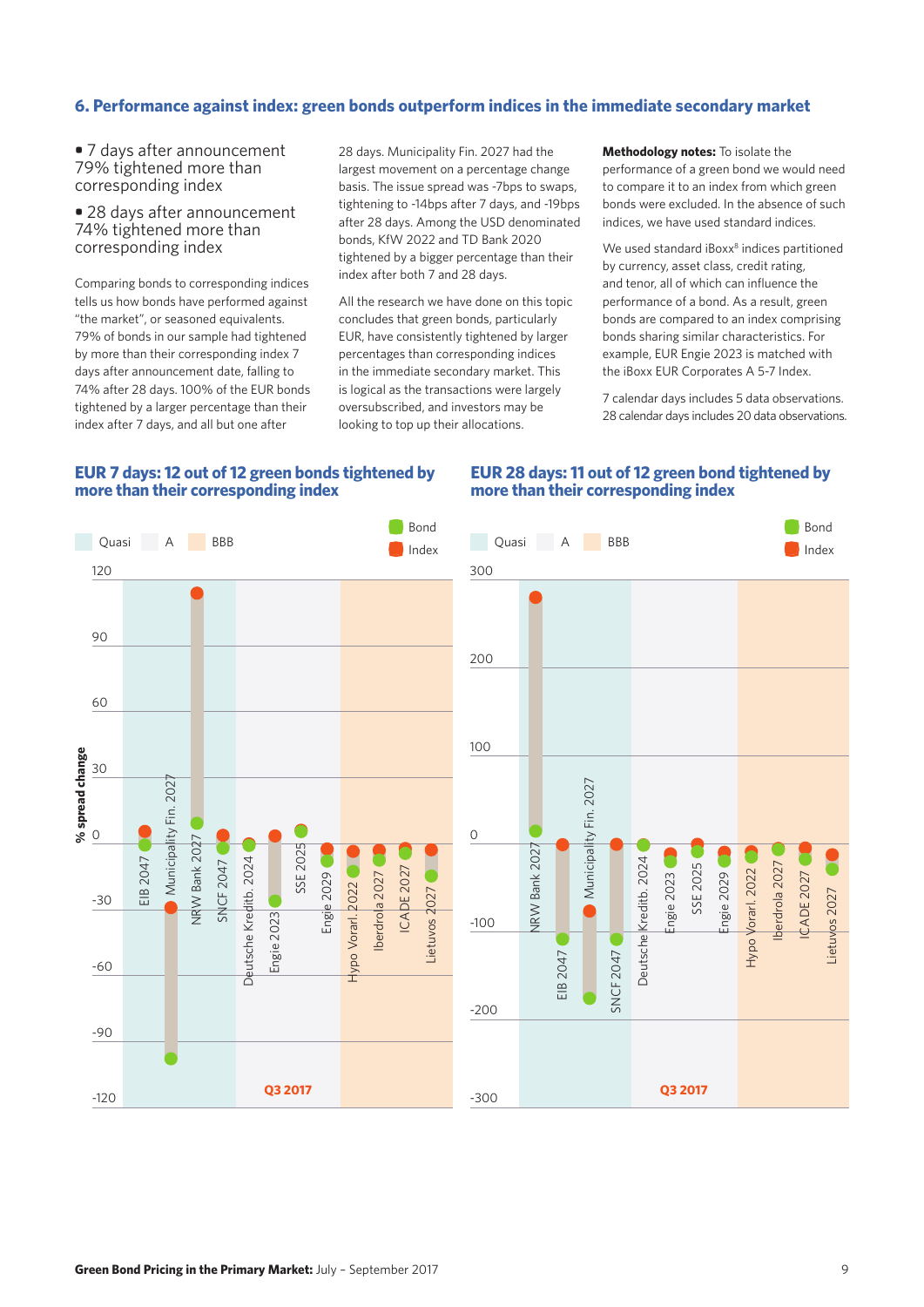## **6. Performance against index: green bonds outperform indices in the immediate secondary market**

**•** 7 days after announcement 79% tightened more than corresponding index

**•** 28 days after announcement 74% tightened more than corresponding index

Comparing bonds to corresponding indices tells us how bonds have performed against "the market", or seasoned equivalents. 79% of bonds in our sample had tightened by more than their corresponding index 7 days after announcement date, falling to 74% after 28 days. 100% of the EUR bonds tightened by a larger percentage than their index after 7 days, and all but one after

28 days. Municipality Fin. 2027 had the largest movement on a percentage change basis. The issue spread was -7bps to swaps, tightening to -14bps after 7 days, and -19bps after 28 days. Among the USD denominated bonds, KfW 2022 and TD Bank 2020 tightened by a bigger percentage than their index after both 7 and 28 days.

All the research we have done on this topic concludes that green bonds, particularly EUR, have consistently tightened by larger percentages than corresponding indices in the immediate secondary market. This is logical as the transactions were largely oversubscribed, and investors may be looking to top up their allocations.

**Methodology notes:** To isolate the performance of a green bond we would need to compare it to an index from which green bonds were excluded. In the absence of such indices, we have used standard indices.

We used standard iBoxx<sup>8</sup> indices partitioned by currency, asset class, credit rating, and tenor, all of which can influence the performance of a bond. As a result, green bonds are compared to an index comprising bonds sharing similar characteristics. For example, EUR Engie 2023 is matched with the iBoxx EUR Corporates A 5-7 Index.

7 calendar days includes 5 data observations. 28 calendar days includes 20 data observations.

### **EUR 7 days: 12 out of 12 green bonds tightened by more than their corresponding index**

#### **EUR 28 days: 11 out of 12 green bond tightened by more than their corresponding index**

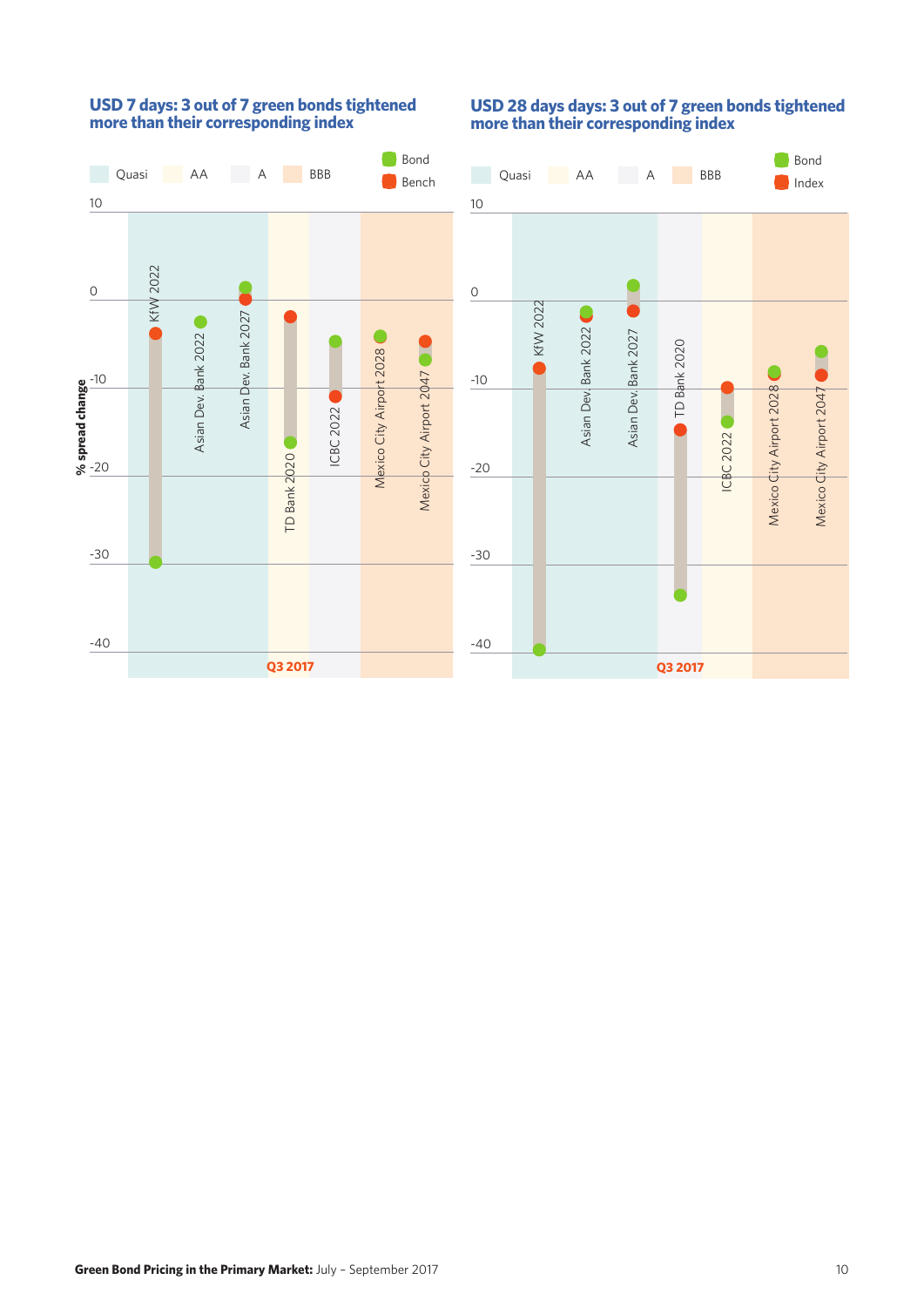

# **USD 7 days: 3 out of 7 green bonds tightened more than their corresponding index**

# **USD 28 days days: 3 out of 7 green bonds tightened more than their corresponding index**

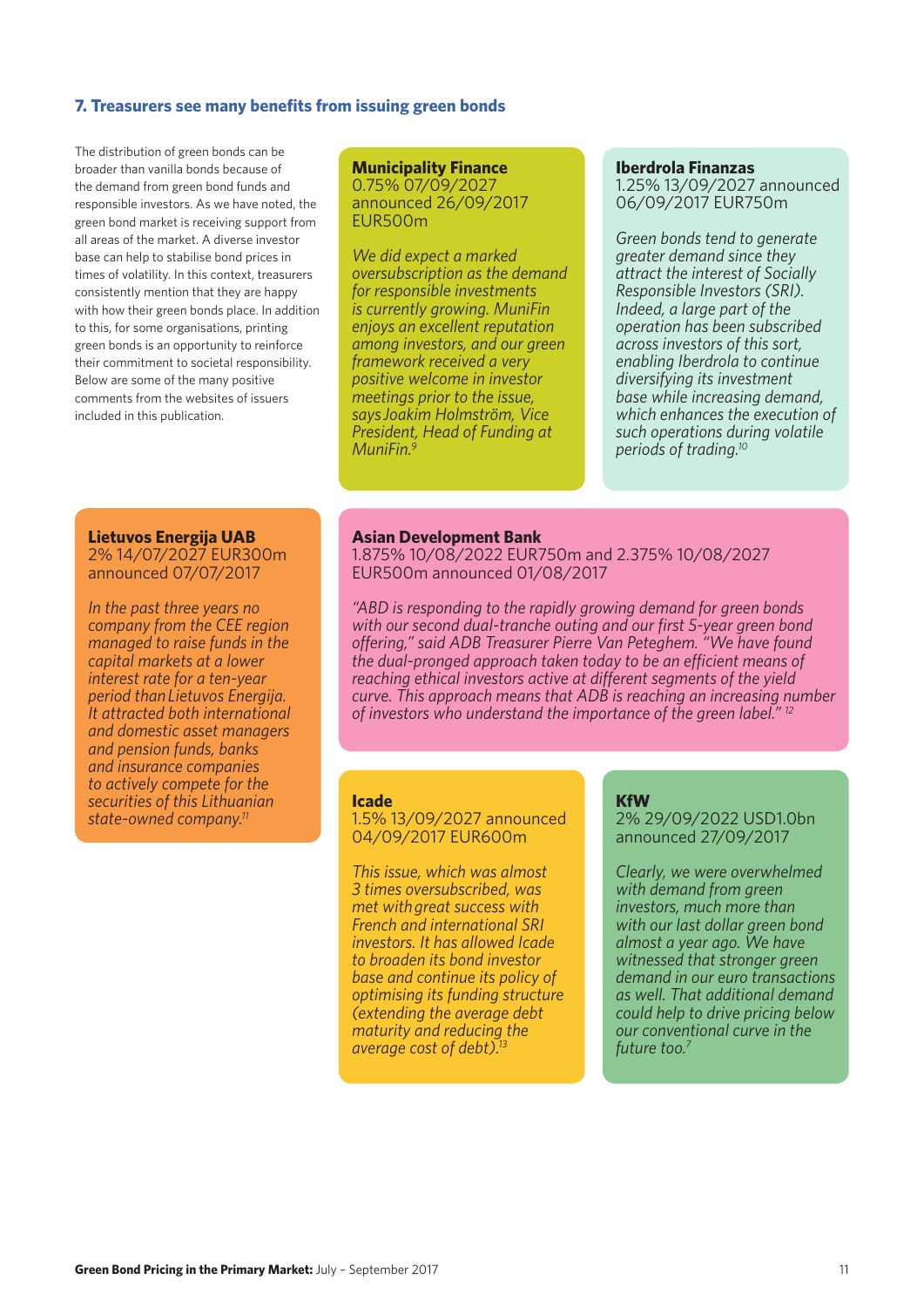#### **7. Treasurers see many benefits from issuing green bonds**

The distribution of green bonds can be broader than vanilla bonds because of the demand from green bond funds and responsible investors. As we have noted, the green bond market is receiving support from all areas of the market. A diverse investor base can help to stabilise bond prices in times of volatility. In this context, treasurers consistently mention that they are happy with how their green bonds place. In addition to this, for some organisations, printing green bonds is an opportunity to reinforce their commitment to societal responsibility. Below are some of the many positive comments from the websites of issuers included in this publication.

#### **Municipality Finance** 0.75% 07/09/2027 announced 26/09/2017 EUR500m

*We did expect a marked oversubscription as the demand for responsible investments is currently growing. MuniFin enjoys an excellent reputation among investors, and our green framework received a very positive welcome in investor meetings prior to the issue, says Joakim Holmström, Vice President, Head of Funding at MuniFin.9*

#### **Iberdrola Finanzas**

1.25% 13/09/2027 announced 06/09/2017 EUR750m

*Green bonds tend to generate greater demand since they attract the interest of Socially Responsible Investors (SRI). Indeed, a large part of the operation has been subscribed across investors of this sort, enabling Iberdrola to continue diversifying its investment base while increasing demand, which enhances the execution of such operations during volatile periods of trading.10*

#### **Lietuvos Energija UAB**

2% 14/07/2027 EUR300m announced 07/07/2017

*In the past three years no company from the CEE region managed to raise funds in the capital markets at a lower interest rate for a ten-year period than Lietuvos Energija. It attracted both international and domestic asset managers and pension funds, banks and insurance companies to actively compete for the securities of this Lithuanian state-owned company.11*

#### **Asian Development Bank**

1.875% 10/08/2022 EUR750m and 2.375% 10/08/2027 EUR500m announced 01/08/2017

*"ABD is responding to the rapidly growing demand for green bonds with our second dual-tranche outing and our first 5-year green bond offering," said ADB Treasurer Pierre Van Peteghem. "We have found the dual-pronged approach taken today to be an efficient means of reaching ethical investors active at different segments of the yield curve. This approach means that ADB is reaching an increasing number of investors who understand the importance of the green label." 12*

#### **Icade**

1.5% 13/09/2027 announced 04/09/2017 EUR600m

*This issue, which was almost 3 times oversubscribed, was met with great success with French and international SRI investors. It has allowed Icade to broaden its bond investor base and continue its policy of optimising its funding structure (extending the average debt maturity and reducing the average cost of debt).13*

#### **KfW**

2% 29/09/2022 USD1.0bn announced 27/09/2017

*Clearly, we were overwhelmed with demand from green investors, much more than with our last dollar green bond almost a year ago. We have witnessed that stronger green demand in our euro transactions as well. That additional demand could help to drive pricing below our conventional curve in the future too.7*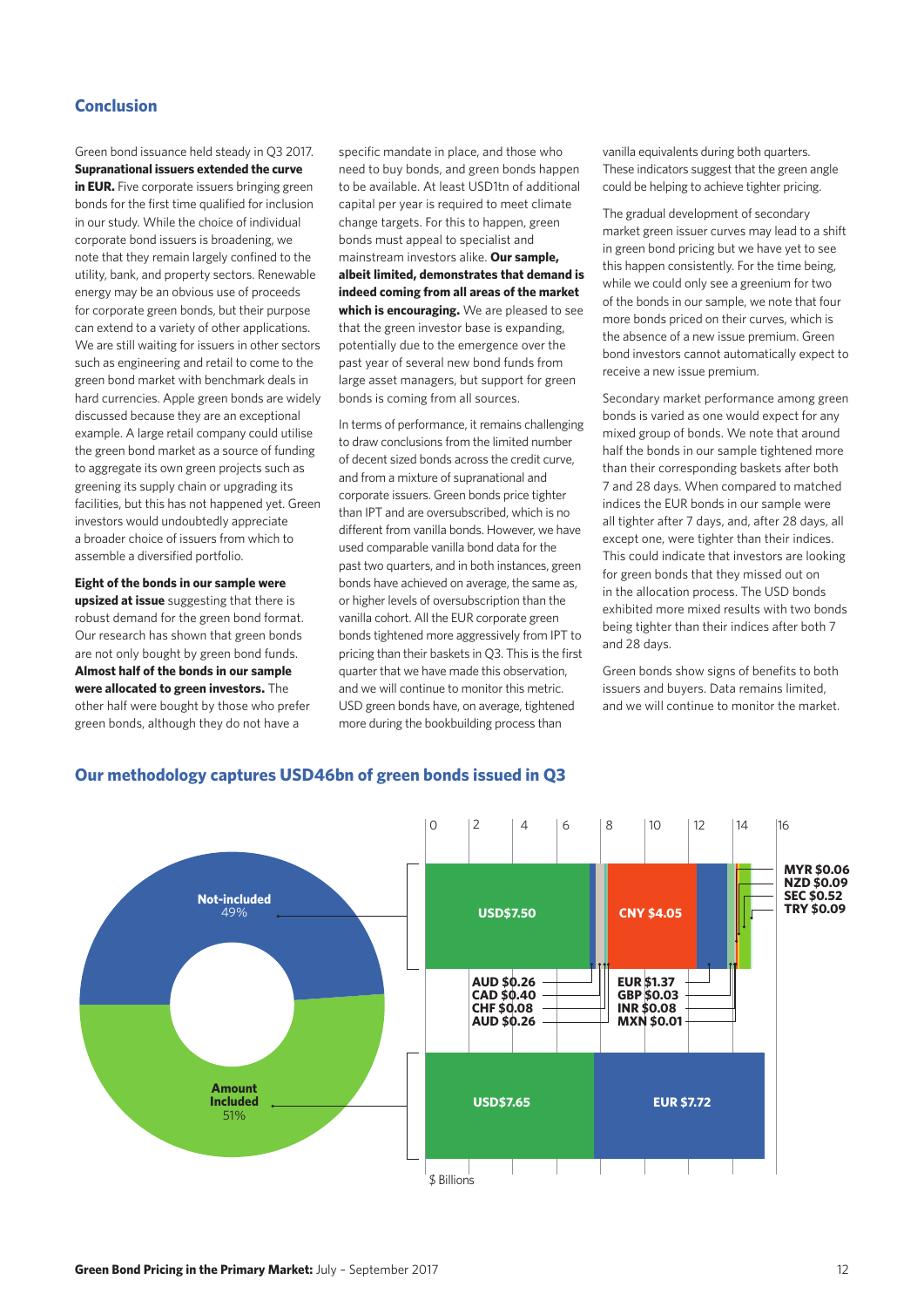# **Conclusion**

Green bond issuance held steady in Q3 2017. **Supranational issuers extended the curve in EUR.** Five corporate issuers bringing green bonds for the first time qualified for inclusion in our study. While the choice of individual corporate bond issuers is broadening, we note that they remain largely confined to the utility, bank, and property sectors. Renewable energy may be an obvious use of proceeds for corporate green bonds, but their purpose can extend to a variety of other applications. We are still waiting for issuers in other sectors such as engineering and retail to come to the green bond market with benchmark deals in hard currencies. Apple green bonds are widely discussed because they are an exceptional example. A large retail company could utilise the green bond market as a source of funding to aggregate its own green projects such as greening its supply chain or upgrading its facilities, but this has not happened yet. Green investors would undoubtedly appreciate a broader choice of issuers from which to assemble a diversified portfolio.

**Eight of the bonds in our sample were upsized at issue** suggesting that there is robust demand for the green bond format. Our research has shown that green bonds are not only bought by green bond funds. **Almost half of the bonds in our sample were allocated to green investors.** The other half were bought by those who prefer green bonds, although they do not have a

specific mandate in place, and those who need to buy bonds, and green bonds happen to be available. At least USD1tn of additional capital per year is required to meet climate change targets. For this to happen, green bonds must appeal to specialist and mainstream investors alike. **Our sample, albeit limited, demonstrates that demand is indeed coming from all areas of the market which is encouraging.** We are pleased to see that the green investor base is expanding, potentially due to the emergence over the past year of several new bond funds from large asset managers, but support for green bonds is coming from all sources.

In terms of performance, it remains challenging to draw conclusions from the limited number of decent sized bonds across the credit curve, and from a mixture of supranational and corporate issuers. Green bonds price tighter than IPT and are oversubscribed, which is no different from vanilla bonds. However, we have used comparable vanilla bond data for the past two quarters, and in both instances, green bonds have achieved on average, the same as, or higher levels of oversubscription than the vanilla cohort. All the EUR corporate green bonds tightened more aggressively from IPT to pricing than their baskets in Q3. This is the first quarter that we have made this observation, and we will continue to monitor this metric. USD green bonds have, on average, tightened more during the bookbuilding process than

vanilla equivalents during both quarters. These indicators suggest that the green angle could be helping to achieve tighter pricing.

The gradual development of secondary market green issuer curves may lead to a shift in green bond pricing but we have yet to see this happen consistently. For the time being, while we could only see a greenium for two of the bonds in our sample, we note that four more bonds priced on their curves, which is the absence of a new issue premium. Green bond investors cannot automatically expect to receive a new issue premium.

Secondary market performance among green bonds is varied as one would expect for any mixed group of bonds. We note that around half the bonds in our sample tightened more than their corresponding baskets after both 7 and 28 days. When compared to matched indices the EUR bonds in our sample were all tighter after 7 days, and, after 28 days, all except one, were tighter than their indices. This could indicate that investors are looking for green bonds that they missed out on in the allocation process. The USD bonds exhibited more mixed results with two bonds being tighter than their indices after both 7 and 28 days.

Green bonds show signs of benefits to both issuers and buyers. Data remains limited, and we will continue to monitor the market.



# **Our methodology captures USD46bn of green bonds issued in Q3**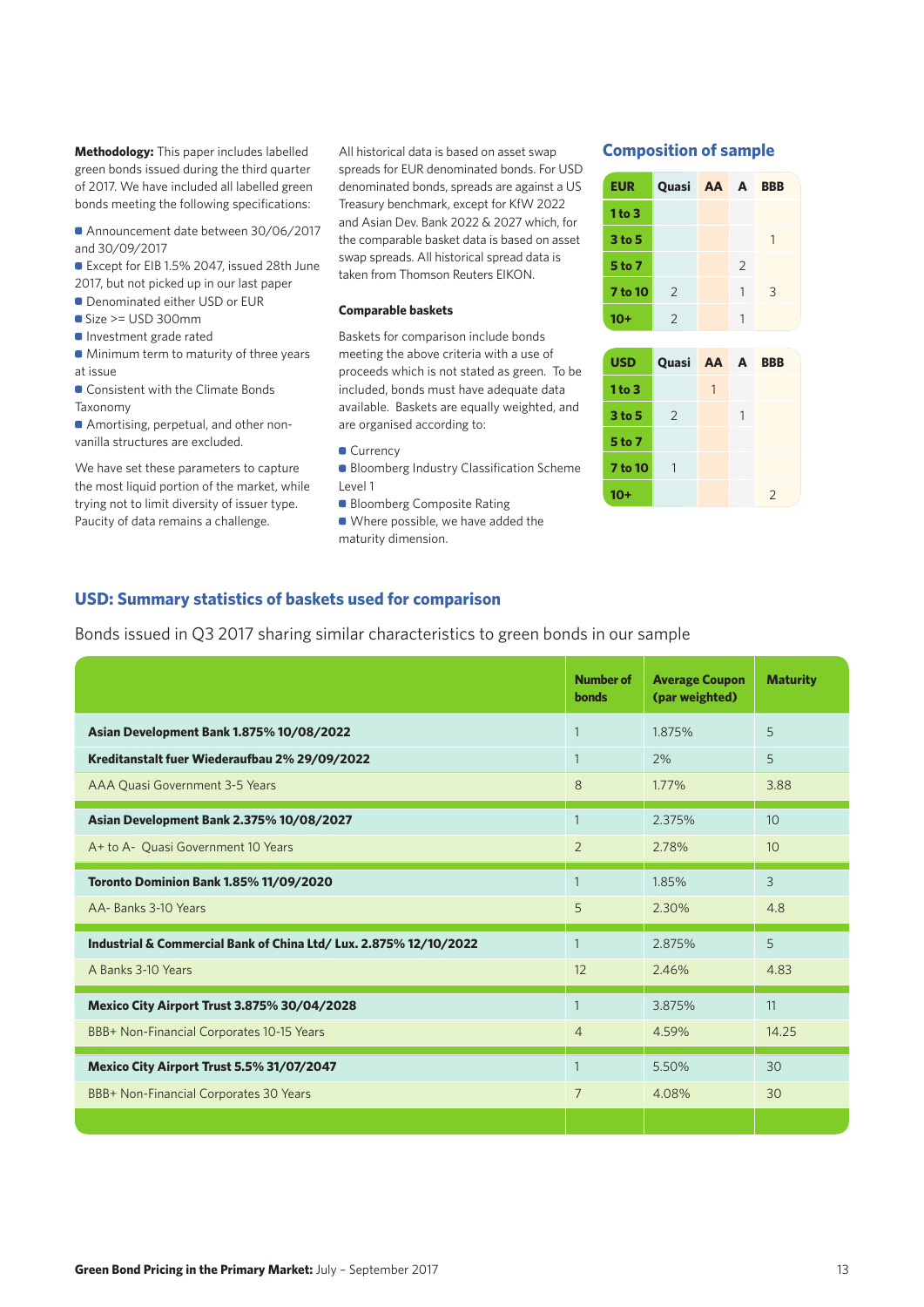**Methodology:** This paper includes labelled All historical data is based on asset swap **Composition of sample** green bonds issued during the third quarter of 2017. We have included all labelled green bonds meeting the following specifications:

• Announcement date between 30/06/2017 and 30/09/2017

• Except for EIB 1.5% 2047, issued 28th June 2017, but not picked up in our last paper

- Denominated either USD or EUR
- $\bullet$  Size >= USD 300mm
- **Investment grade rated**
- Minimum term to maturity of three years at issue
- Consistent with the Climate Bonds Taxonomy

• Amortising, perpetual, and other nonvanilla structures are excluded.

We have set these parameters to capture the most liquid portion of the market, while trying not to limit diversity of issuer type. Paucity of data remains a challenge.

All historical data is based on asset swap spreads for EUR denominated bonds. For USD denominated bonds, spreads are against a US Treasury benchmark, except for KfW 2022 and Asian Dev. Bank 2022 & 2027 which, for the comparable basket data is based on asset swap spreads. All historical spread data is taken from Thomson Reuters EIKON.

#### **Comparable baskets**

Baskets for comparison include bonds meeting the above criteria with a use of proceeds which is not stated as green. To be included, bonds must have adequate data available. Baskets are equally weighted, and are organised according to:

- **Currency**
- Bloomberg Industry Classification Scheme Level 1
- Bloomberg Composite Rating
- Where possible, we have added the maturity dimension.

| <b>EUR</b> | Quasi AA A     |               | <b>BBB</b> |
|------------|----------------|---------------|------------|
| 1 to 3     |                |               |            |
| 3 to 5     |                |               | 1          |
| 5 to 7     |                | $\mathcal{P}$ |            |
| 7 to 10    | 2              | 1             | 3          |
| $10+$      | $\overline{2}$ |               |            |

| USD            | Quasi AA A    |   | <b>BBB</b>    |
|----------------|---------------|---|---------------|
| 1 to 3         |               | 1 |               |
| 3 to 5         | $\mathcal{L}$ |   |               |
| 5 to 7         |               |   |               |
| <b>7 to 10</b> | 1             |   |               |
| 10+            |               |   | $\mathcal{L}$ |

### **USD: Summary statistics of baskets used for comparison**

Bonds issued in Q3 2017 sharing similar characteristics to green bonds in our sample

|                                                                   | <b>Number of</b><br>bonds | <b>Average Coupon</b><br>(par weighted) | <b>Maturity</b>  |
|-------------------------------------------------------------------|---------------------------|-----------------------------------------|------------------|
| Asian Development Bank 1.875% 10/08/2022                          | $\mathbf{1}$              | 1.875%                                  | 5                |
| Kreditanstalt fuer Wiederaufbau 2% 29/09/2022                     | $\mathbf{1}$              | 2%                                      | 5                |
| AAA Quasi Government 3-5 Years                                    | 8                         | 1.77%                                   | 3.88             |
| Asian Development Bank 2.375% 10/08/2027                          | $\mathbf{1}$              | 2.375%                                  | 10               |
| A+ to A- Quasi Government 10 Years                                | $\overline{2}$            | 2.78%                                   | 10 <sup>10</sup> |
| <b>Toronto Dominion Bank 1.85% 11/09/2020</b>                     |                           | 1.85%                                   | 3                |
| AA-Banks 3-10 Years                                               | 5                         | 2.30%                                   | 4.8              |
| Industrial & Commercial Bank of China Ltd/ Lux. 2.875% 12/10/2022 |                           | 2.875%                                  | 5                |
| A Banks 3-10 Years                                                | 12                        | 2.46%                                   | 4.83             |
| Mexico City Airport Trust 3.875% 30/04/2028                       | $\mathbf{1}$              | 3.875%                                  | 11               |
| BBB+ Non-Financial Corporates 10-15 Years                         | $\overline{4}$            | 4.59%                                   | 14.25            |
| Mexico City Airport Trust 5.5% 31/07/2047                         | $\mathbf{1}$              | 5.50%                                   | 30               |
| BBB+ Non-Financial Corporates 30 Years                            | $\overline{7}$            | 4.08%                                   | 30               |
|                                                                   |                           |                                         |                  |